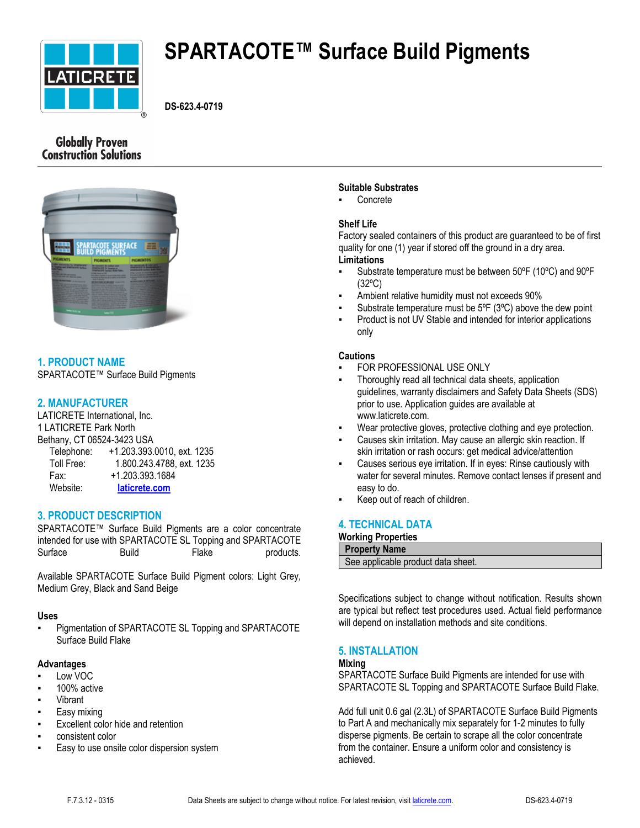

# **SPARTACOTE™ Surface Build Pigments**

**DS-623.4-0719**

# **Globally Proven Construction Solutions**



# **1. PRODUCT NAME**

SPARTACOTE™ Surface Build Pigments

# **2. MANUFACTURER**

LATICRETE International, Inc. 1 LATICRETE Park North Bethany, CT 06524-3423 USA

| Telephone: | +1.203.393.0010, ext. 1235 |
|------------|----------------------------|
| Toll Free: | 1.800.243.4788, ext. 1235  |
| Fax:       | +1.203.393.1684            |
| Website:   | laticrete.com              |

# **3. PRODUCT DESCRIPTION**

SPARTACOTE™ Surface Build Pigments are a color concentrate intended for use with SPARTACOTE SL Topping and SPARTACOTE Surface **Build** Flake **Products**.

Available SPARTACOTE Surface Build Pigment colors: Light Grey, Medium Grey, Black and Sand Beige

#### **Uses**

Pigmentation of SPARTACOTE SL Topping and SPARTACOTE Surface Build Flake

# **Advantages**

- Low VOC
- 100% active
- **Vibrant**
- Easy mixing
- **Excellent color hide and retention**
- consistent color
- Easy to use onsite color dispersion system

#### **Suitable Substrates**

**Concrete** 

## **Shelf Life**

Factory sealed containers of this product are guaranteed to be of first quality for one (1) year if stored off the ground in a dry area.

# **Limitations**

- Substrate temperature must be between 50ºF (10ºC) and 90ºF (32ºC)
- Ambient relative humidity must not exceeds 90%
- Substrate temperature must be  $5^{\circ}F$  (3 $^{\circ}C$ ) above the dew point
- Product is not UV Stable and intended for interior applications only

## **Cautions**

- FOR PROFESSIONAL USE ONLY
- Thoroughly read all technical data sheets, application guidelines, warranty disclaimers and Safety Data Sheets (SDS) prior to use. Application guides are available at www.laticrete.com.
- Wear protective gloves, protective clothing and eye protection.
- Causes skin irritation. May cause an allergic skin reaction. If skin irritation or rash occurs: get medical advice/attention
- Causes serious eye irritation. If in eyes: Rinse cautiously with water for several minutes. Remove contact lenses if present and easy to do.
- Keep out of reach of children.

# **4. TECHNICAL DATA**

| Working Properties                 |
|------------------------------------|
| <b>Property Name</b>               |
| See applicable product data sheet. |

Specifications subject to change without notification. Results shown are typical but reflect test procedures used. Actual field performance will depend on installation methods and site conditions.

# **5. INSTALLATION**

#### **Mixing**

SPARTACOTE Surface Build Pigments are intended for use with SPARTACOTE SL Topping and SPARTACOTE Surface Build Flake.

Add full unit 0.6 gal (2.3L) of SPARTACOTE Surface Build Pigments to Part A and mechanically mix separately for 1-2 minutes to fully disperse pigments. Be certain to scrape all the color concentrate from the container. Ensure a uniform color and consistency is achieved.